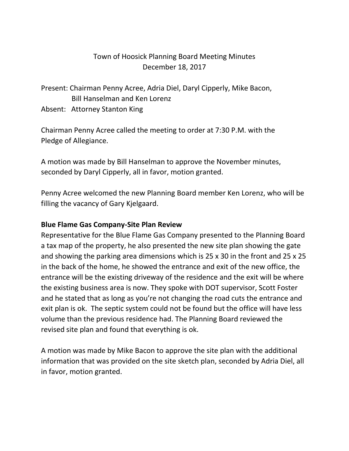## Town of Hoosick Planning Board Meeting Minutes December 18, 2017

Present: Chairman Penny Acree, Adria Diel, Daryl Cipperly, Mike Bacon, Bill Hanselman and Ken Lorenz

Absent: Attorney Stanton King

Chairman Penny Acree called the meeting to order at 7:30 P.M. with the Pledge of Allegiance.

A motion was made by Bill Hanselman to approve the November minutes, seconded by Daryl Cipperly, all in favor, motion granted.

Penny Acree welcomed the new Planning Board member Ken Lorenz, who will be filling the vacancy of Gary Kjelgaard.

## **Blue Flame Gas Company-Site Plan Review**

Representative for the Blue Flame Gas Company presented to the Planning Board a tax map of the property, he also presented the new site plan showing the gate and showing the parking area dimensions which is 25 x 30 in the front and 25 x 25 in the back of the home, he showed the entrance and exit of the new office, the entrance will be the existing driveway of the residence and the exit will be where the existing business area is now. They spoke with DOT supervisor, Scott Foster and he stated that as long as you're not changing the road cuts the entrance and exit plan is ok. The septic system could not be found but the office will have less volume than the previous residence had. The Planning Board reviewed the revised site plan and found that everything is ok.

A motion was made by Mike Bacon to approve the site plan with the additional information that was provided on the site sketch plan, seconded by Adria Diel, all in favor, motion granted.